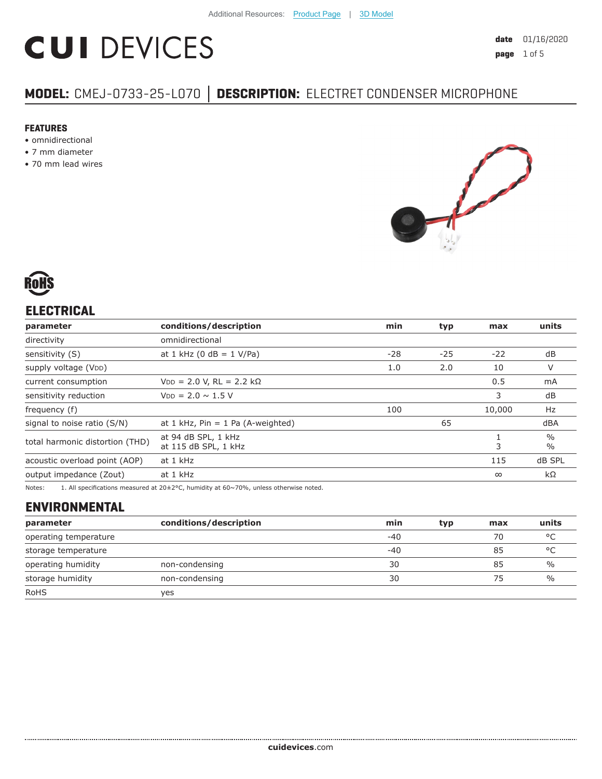# **CUI DEVICES**

# **MODEL:** CMEJ-0733-25-L070 **│ DESCRIPTION:** ELECTRET CONDENSER MICROPHONE

#### **FEATURES**

- omnidirectional
- 7 mm diameter
- 70 mm lead wires





## **ELECTRICAL**

| parameter                       | conditions/description                      | min   | typ   | max      | units                          |
|---------------------------------|---------------------------------------------|-------|-------|----------|--------------------------------|
| directivity                     | omnidirectional                             |       |       |          |                                |
| sensitivity (S)                 | at 1 kHz (0 dB = $1$ V/Pa)                  | $-28$ | $-25$ | $-22$    | dB                             |
| supply voltage (VDD)            |                                             | 1.0   | 2.0   | 10       | V                              |
| current consumption             | $VDD = 2.0 V, RL = 2.2 k\Omega$             |       |       | 0.5      | mA                             |
| sensitivity reduction           | $V_{DD} = 2.0 \sim 1.5 V$                   |       |       | 3        | dB                             |
| frequency (f)                   |                                             | 100   |       | 10,000   | Hz                             |
| signal to noise ratio (S/N)     | at 1 kHz, $Pin = 1$ Pa (A-weighted)         |       | 65    |          | dBA                            |
| total harmonic distortion (THD) | at 94 dB SPL, 1 kHz<br>at 115 dB SPL, 1 kHz |       |       | 3        | $\frac{0}{0}$<br>$\frac{0}{0}$ |
| acoustic overload point (AOP)   | at 1 kHz                                    |       |       | 115      | dB SPL                         |
| output impedance (Zout)         | at 1 kHz                                    |       |       | $\infty$ | $k\Omega$                      |

Notes: 1. All specifications measured at 20±2°C, humidity at 60~70%, unless otherwise noted.

# **ENVIRONMENTAL**

| parameter             | conditions/description | min   | typ | max | units         |
|-----------------------|------------------------|-------|-----|-----|---------------|
| operating temperature |                        | $-40$ |     | 70  | °C            |
| storage temperature   |                        | $-40$ |     | 85  | °C            |
| operating humidity    | non-condensing         | 30    |     | 85  | $\%$          |
| storage humidity      | non-condensing         | 30    |     | 75  | $\frac{0}{0}$ |
| <b>RoHS</b>           | yes                    |       |     |     |               |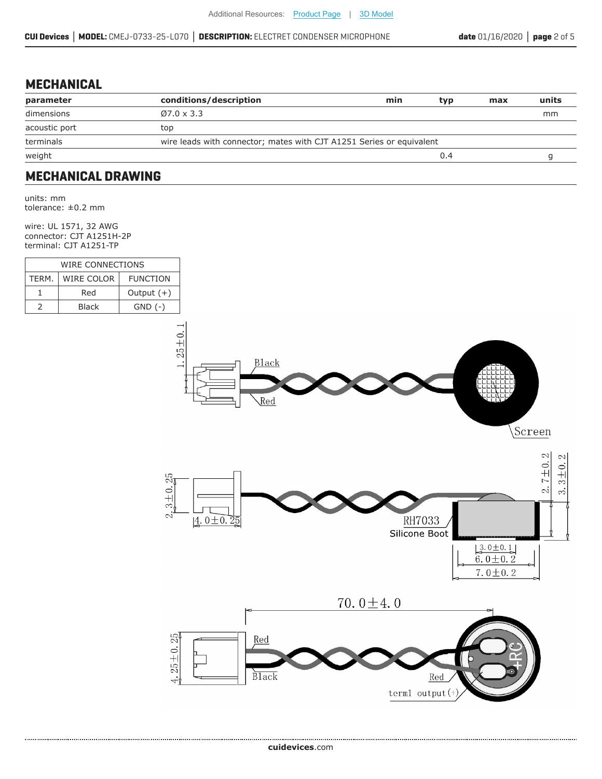#### **MECHANICAL**

| parameter     | conditions/description                                               | min | typ | max | units |
|---------------|----------------------------------------------------------------------|-----|-----|-----|-------|
| dimensions    | $Ø7.0 \times 3.3$                                                    |     |     |     | mm    |
| acoustic port | top                                                                  |     |     |     |       |
| terminals     | wire leads with connector; mates with CJT A1251 Series or equivalent |     |     |     |       |
| weight        |                                                                      |     | 0.4 |     |       |
|               |                                                                      |     |     |     |       |

#### **MECHANICAL DRAWING**

units: mm tolerance: ±0.2 mm

wire: UL 1571, 32 AWG connector: CJT A1251H-2P terminal: CJT A1251-TP

| WIRE CONNECTIONS |                   |                 |  |
|------------------|-------------------|-----------------|--|
| TERM.            | <b>WIRE COLOR</b> | <b>FUNCTION</b> |  |
|                  | Red               | Output $(+)$    |  |
|                  | Black             | $GND$ $(-)$     |  |

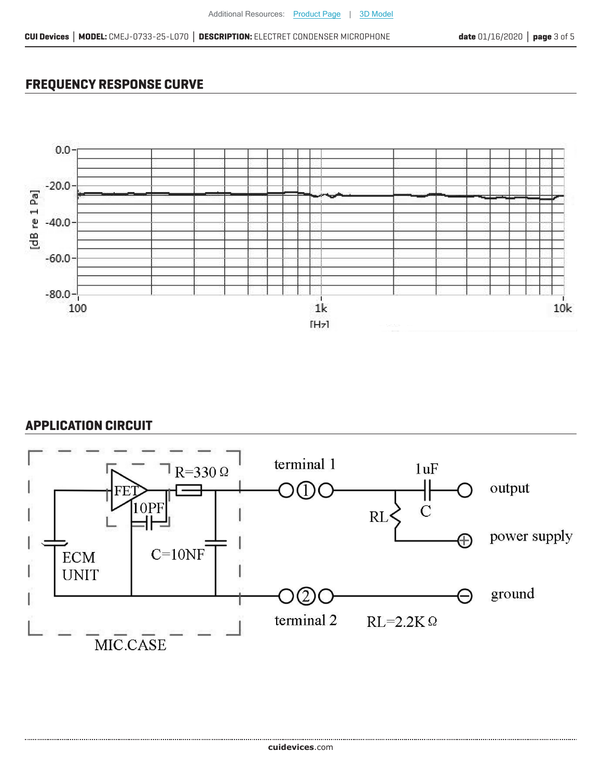### **FREQUENCY RESPONSE CURVE**



#### **APPLICATION CIRCUIT**

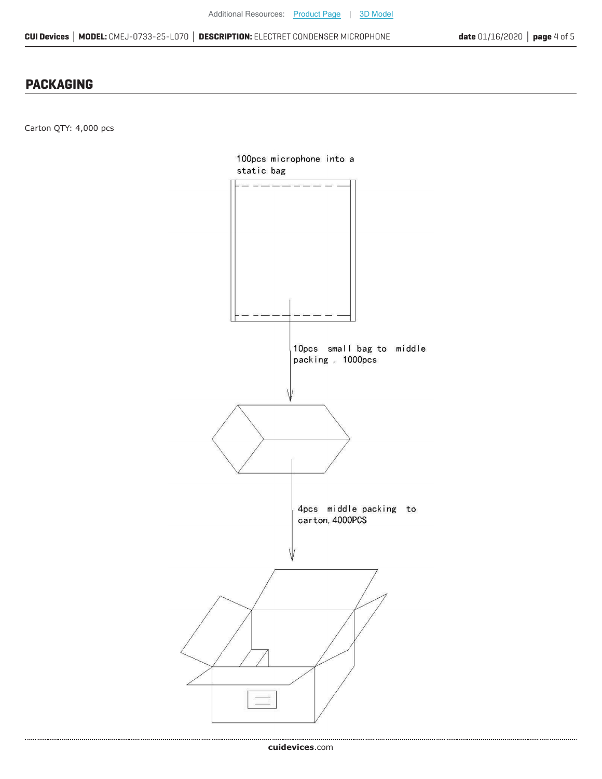#### **PACKAGING**

Carton QTY: 4,000 pcs